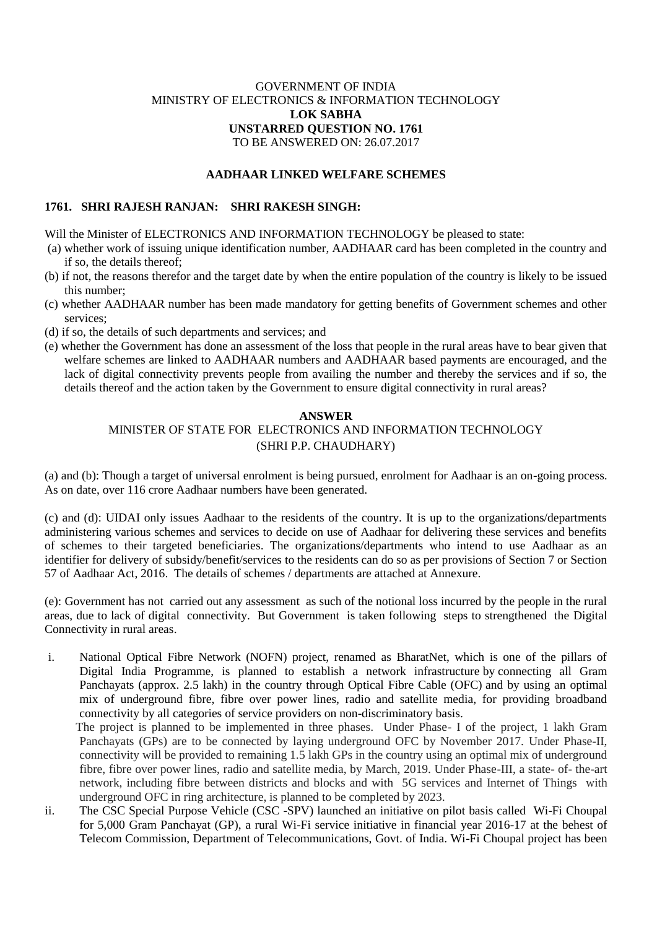# GOVERNMENT OF INDIA MINISTRY OF ELECTRONICS & INFORMATION TECHNOLOGY **LOK SABHA UNSTARRED QUESTION NO. 1761** TO BE ANSWERED ON: 26.07.2017

# **AADHAAR LINKED WELFARE SCHEMES**

## **1761. SHRI RAJESH RANJAN: SHRI RAKESH SINGH:**

Will the Minister of ELECTRONICS AND INFORMATION TECHNOLOGY be pleased to state:

- (a) whether work of issuing unique identification number, AADHAAR card has been completed in the country and if so, the details thereof;
- (b) if not, the reasons therefor and the target date by when the entire population of the country is likely to be issued this number;
- (c) whether AADHAAR number has been made mandatory for getting benefits of Government schemes and other services;
- (d) if so, the details of such departments and services; and
- (e) whether the Government has done an assessment of the loss that people in the rural areas have to bear given that welfare schemes are linked to AADHAAR numbers and AADHAAR based payments are encouraged, and the lack of digital connectivity prevents people from availing the number and thereby the services and if so, the details thereof and the action taken by the Government to ensure digital connectivity in rural areas?

## **ANSWER**

# MINISTER OF STATE FOR ELECTRONICS AND INFORMATION TECHNOLOGY (SHRI P.P. CHAUDHARY)

(a) and (b): Though a target of universal enrolment is being pursued, enrolment for Aadhaar is an on-going process. As on date, over 116 crore Aadhaar numbers have been generated.

(c) and (d): UIDAI only issues Aadhaar to the residents of the country. It is up to the organizations/departments administering various schemes and services to decide on use of Aadhaar for delivering these services and benefits of schemes to their targeted beneficiaries. The organizations/departments who intend to use Aadhaar as an identifier for delivery of subsidy/benefit/services to the residents can do so as per provisions of Section 7 or Section 57 of Aadhaar Act, 2016. The details of schemes / departments are attached at Annexure.

(e): Government has not carried out any assessment as such of the notional loss incurred by the people in the rural areas, due to lack of digital connectivity. But Government is taken following steps to strengthened the Digital Connectivity in rural areas.

- i. National Optical Fibre Network (NOFN) project, renamed as BharatNet, which is one of the pillars of Digital India Programme, is planned to establish a network infrastructure by connecting all Gram Panchayats (approx. 2.5 lakh) in the country through Optical Fibre Cable (OFC) and by using an optimal mix of underground fibre, fibre over power lines, radio and satellite media, for providing broadband connectivity by all categories of service providers on non-discriminatory basis. The project is planned to be implemented in three phases. Under Phase- I of the project, 1 lakh Gram Panchayats (GPs) are to be connected by laying underground OFC by November 2017. Under Phase-II, connectivity will be provided to remaining 1.5 lakh GPs in the country using an optimal mix of underground fibre, fibre over power lines, radio and satellite media, by March, 2019. Under Phase-III, a state- of- the-art network, including fibre between districts and blocks and with 5G services and Internet of Things with
- underground OFC in ring architecture, is planned to be completed by 2023. ii. The CSC Special Purpose Vehicle (CSC -SPV) launched an initiative on pilot basis called Wi-Fi Choupal for 5,000 Gram Panchayat (GP), a rural Wi-Fi service initiative in financial year 2016-17 at the behest of Telecom Commission, Department of Telecommunications, Govt. of India. Wi-Fi Choupal project has been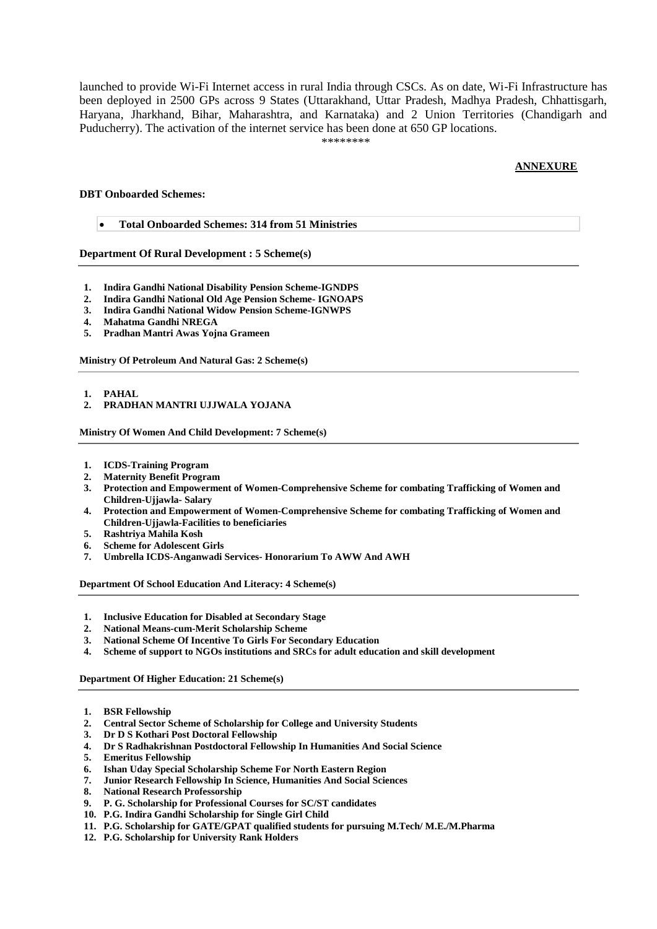launched to provide Wi-Fi Internet access in rural India through CSCs. As on date, Wi-Fi Infrastructure has been deployed in 2500 GPs across 9 States (Uttarakhand, Uttar Pradesh, Madhya Pradesh, Chhattisgarh, Haryana, Jharkhand, Bihar, Maharashtra, and Karnataka) and 2 Union Territories (Chandigarh and Puducherry). The activation of the internet service has been done at 650 GP locations.

\*\*\*\*\*\*\*\*

## **ANNEXURE**

## **DBT Onboarded Schemes:**

**Total Onboarded Schemes: 314 from 51 Ministries**

**Department Of Rural Development : 5 Scheme(s)**

- **1. Indira [Gandhi National Disability Pension Scheme-IGNDPS](https://dbtbharat.gov.in/scheme/schemedetail?id=ODc=)**
- **2. [Indira Gandhi National Old Age Pension Scheme-](https://dbtbharat.gov.in/scheme/schemedetail?id=ODU=) IGNOAPS**
- **3. Indira [Gandhi National Widow Pension Scheme-IGNWPS](https://dbtbharat.gov.in/scheme/schemedetail?id=ODY=)**
- **4. [Mahatma Gandhi NREGA](https://dbtbharat.gov.in/scheme/schemedetail?id=Mw==)**
- **5. [Pradhan Mantri Awas Yojna Grameen](https://dbtbharat.gov.in/scheme/schemedetail?id=MTAw)**

**Ministry Of Petroleum And Natural Gas: 2 Scheme(s)**

**1. [PAHAL](https://dbtbharat.gov.in/scheme/schemedetail?id=MQ==)**

**2. [PRADHAN MANTRI UJJWALA YOJANA](https://dbtbharat.gov.in/scheme/schemedetail?id=MTkw)**

**Ministry Of Women And Child Development: 7 Scheme(s)**

- **1. [ICDS-Training Program](https://dbtbharat.gov.in/scheme/schemedetail?id=MzAx)**
- 
- **2. [Maternity Benefit Program](https://dbtbharat.gov.in/scheme/schemedetail?id=Ng==) 3. [Protection and Empowerment of Women-Comprehensive Scheme for combating Trafficking of Women and](https://dbtbharat.gov.in/scheme/schemedetail?id=MzAy)  [Children-Ujjawla-](https://dbtbharat.gov.in/scheme/schemedetail?id=MzAy) Salary**
- **4. [Protection and Empowerment of Women-Comprehensive Scheme for combating Trafficking of Women and](https://dbtbharat.gov.in/scheme/schemedetail?id=MzAz)  [Children-Ujjawla-Facilities to beneficiaries](https://dbtbharat.gov.in/scheme/schemedetail?id=MzAz)**
- **5. [Rashtriya Mahila Kosh](https://dbtbharat.gov.in/scheme/schemedetail?id=MjMy)**
- **6. [Scheme for Adolescent Girls](https://dbtbharat.gov.in/scheme/schemedetail?id=MzA0)**
- **7. [Umbrella ICDS-Anganwadi Services-](https://dbtbharat.gov.in/scheme/schemedetail?id=MjMz) Honorarium To AWW And AWH**

**Department Of School Education And Literacy: 4 Scheme(s)**

- **1. [Inclusive Education for Disabled at Secondary Stage](https://dbtbharat.gov.in/scheme/schemedetail?id=MTA1)**
- **2. [National Means-cum-Merit Scholarship Scheme](https://dbtbharat.gov.in/scheme/schemedetail?id=OA==)**
- **3. [National Scheme Of Incentive To Girls For Secondary Education](https://dbtbharat.gov.in/scheme/schemedetail?id=Nw==)**
- **4. [Scheme of support to NGOs institutions and SRCs for adult education and skill development](https://dbtbharat.gov.in/scheme/schemedetail?id=MTA2)**

**Department Of Higher Education: 21 Scheme(s)**

- **1. [BSR Fellowship](https://dbtbharat.gov.in/scheme/schemedetail?id=MTU=)**
- **2. [Central Sector Scheme of Scholarship for College and University Students](https://dbtbharat.gov.in/scheme/schemedetail?id=MjA=)**
- **3. [Dr D S Kothari Post Doctoral Fellowship](https://dbtbharat.gov.in/scheme/schemedetail?id=MTE=)**
- **4. [Dr S Radhakrishnan Postdoctoral Fellowship In Humanities And Social Science](https://dbtbharat.gov.in/scheme/schemedetail?id=MTk=)**
- **5. [Emeritus Fellowship](https://dbtbharat.gov.in/scheme/schemedetail?id=MTM=)**
- **6. [Ishan Uday Special Scholarship Scheme For North Eastern Region](https://dbtbharat.gov.in/scheme/schemedetail?id=MTY=)**
- **7. [Junior Research Fellowship In Science, Humanities And Social Sciences](https://dbtbharat.gov.in/scheme/schemedetail?id=MTI=)**
- **8. [National Research Professorship](https://dbtbharat.gov.in/scheme/schemedetail?id=OTk=)**
- **9. [P. G. Scholarship for Professional Courses for SC/ST candidates](https://dbtbharat.gov.in/scheme/schemedetail?id=ODQ=)**
- **10. [P.G. Indira Gandhi Scholarship for Single Girl Child](https://dbtbharat.gov.in/scheme/schemedetail?id=ODM=)**
- **11. [P.G. Scholarship for GATE/GPAT qualified students for pursuing M.Tech/ M.E./M.Pharma](https://dbtbharat.gov.in/scheme/schemedetail?id=OTI=)**
- **12. [P.G. Scholarship for University Rank Holders](https://dbtbharat.gov.in/scheme/schemedetail?id=ODI=)**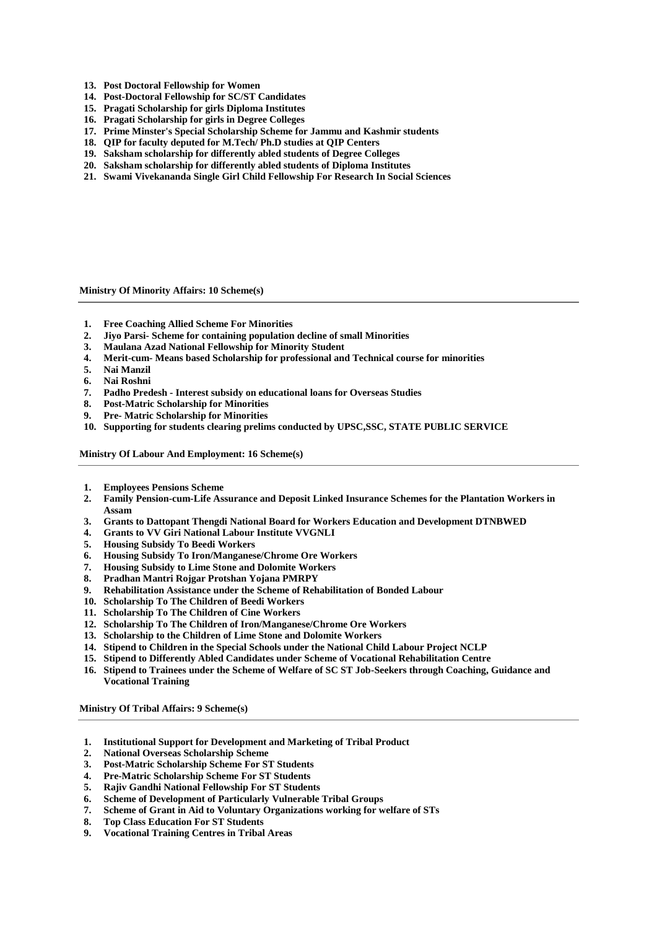- **13. [Post Doctoral Fellowship for Women](https://dbtbharat.gov.in/scheme/schemedetail?id=MTQ=)**
- **14. [Post-Doctoral Fellowship for SC/ST Candidates](https://dbtbharat.gov.in/scheme/schemedetail?id=ODE=)**
- **15. [Pragati Scholarship for girls Diploma Institutes](https://dbtbharat.gov.in/scheme/schemedetail?id=OTQ=)**
- **16. [Pragati Scholarship for girls in Degree Colleges](https://dbtbharat.gov.in/scheme/schemedetail?id=OTM=)**
- **17. [Prime Minster's Special Scholarship Scheme for Jammu and](https://dbtbharat.gov.in/scheme/schemedetail?id=OTc=) Kashmir students**
- **18. [QIP for faculty deputed for M.Tech/ Ph.D studies at QIP Centers](https://dbtbharat.gov.in/scheme/schemedetail?id=OTg=)**
- **19. [Saksham scholarship for differently abled students of Degree Colleges](https://dbtbharat.gov.in/scheme/schemedetail?id=OTU=)**
- **20. [Saksham scholarship for differently abled students of Diploma Institutes](https://dbtbharat.gov.in/scheme/schemedetail?id=OTY=)**
- **21. [Swami Vivekananda Single Girl Child Fellowship For Research In Social Sciences](https://dbtbharat.gov.in/scheme/schemedetail?id=MTc=)**

**Ministry Of Minority Affairs: 10 Scheme(s)**

- **1. [Free Coaching Allied Scheme For Minorities](https://dbtbharat.gov.in/scheme/schemedetail?id=MzE0)**
- **2. Jiyo Parsi- [Scheme for containing population decline of small Minorities](https://dbtbharat.gov.in/scheme/schemedetail?id=MzE1)**
- **3. [Maulana Azad National Fellowship for Minority Student](https://dbtbharat.gov.in/scheme/schemedetail?id=MjQ=)**
- **4. Merit-cum- [Means based Scholarship for professional and Technical course for minorities](https://dbtbharat.gov.in/scheme/schemedetail?id=MjM=)**
- **5. [Nai Manzil](https://dbtbharat.gov.in/scheme/schemedetail?id=MzEz)**
- **6. [Nai Roshni](https://dbtbharat.gov.in/scheme/schemedetail?id=MTc0)**
- **7. Padho Predesh - [Interest subsidy on educational loans for Overseas Studies](https://dbtbharat.gov.in/scheme/schemedetail?id=MTcx)**
- **8. Post-Matric [Scholarship for Minorities](https://dbtbharat.gov.in/scheme/schemedetail?id=MjI=)**
- **9. Pre- [Matric Scholarship for Minorities](https://dbtbharat.gov.in/scheme/schemedetail?id=MjE=)**
- **10. [Supporting for students clearing prelims conducted by UPSC,SSC, STATE PUBLIC SERVICE](https://dbtbharat.gov.in/scheme/schemedetail?id=MTcz)**

**Ministry Of Labour And Employment: 16 Scheme(s)**

- **1. [Employees Pensions Scheme](https://dbtbharat.gov.in/scheme/schemedetail?id=MTg2)**
- **2. [Family Pension-cum-Life Assurance and Deposit Linked Insurance Schemes for the Plantation Workers in](https://dbtbharat.gov.in/scheme/schemedetail?id=MTgx)  [Assam](https://dbtbharat.gov.in/scheme/schemedetail?id=MTgx)**
- **3. [Grants to Dattopant Thengdi National Board for Workers Education and Development DTNBWED](https://dbtbharat.gov.in/scheme/schemedetail?id=MjM1)**
- **4. [Grants to VV Giri National Labour Institute VVGNLI](https://dbtbharat.gov.in/scheme/schemedetail?id=MjM2)**
- **5. [Housing Subsidy To Beedi Workers](https://dbtbharat.gov.in/scheme/schemedetail?id=Mjc=)**
- **6. [Housing Subsidy To Iron/Manganese/Chrome Ore Workers](https://dbtbharat.gov.in/scheme/schemedetail?id=MzM=)**
- **7. [Housing Subsidy to Lime Stone and Dolomite Workers](https://dbtbharat.gov.in/scheme/schemedetail?id=MzQ=)**
- **8. [Pradhan Mantri Rojgar Protshan Yojana PMRPY](https://dbtbharat.gov.in/scheme/schemedetail?id=MjM3)**
- **9. [Rehabilitation Assistance under the Scheme of Rehabilitation of Bonded Labour](https://dbtbharat.gov.in/scheme/schemedetail?id=ODA=)**
- **10. [Scholarship To The Children of Beedi Workers](https://dbtbharat.gov.in/scheme/schemedetail?id=MjY=)**
- **11. [Scholarship To The Children of Cine Workers](https://dbtbharat.gov.in/scheme/schemedetail?id=MzA=)**
- **12. [Scholarship To The Children of Iron/Manganese/Chrome Ore Workers](https://dbtbharat.gov.in/scheme/schemedetail?id=MzE=)**
- **13. [Scholarship to the Children of Lime Stone and Dolomite Workers](https://dbtbharat.gov.in/scheme/schemedetail?id=MzI=)**
- **14. [Stipend to Children in the Special Schools under the National Child Labour Project NCLP](https://dbtbharat.gov.in/scheme/schemedetail?id=MjU=)**
- **15. [Stipend to Differently Abled Candidates under Scheme of Vocational Rehabilitation Centre](https://dbtbharat.gov.in/scheme/schemedetail?id=Nzc=)**
- **16. [Stipend to Trainees under the Scheme of Welfare of SC ST Job-Seekers through Coaching, Guidance and](https://dbtbharat.gov.in/scheme/schemedetail?id=Mjg=)  [Vocational Training](https://dbtbharat.gov.in/scheme/schemedetail?id=Mjg=)**

**Ministry Of Tribal Affairs: 9 Scheme(s)**

- **1. [Institutional Support for Development and Marketing of Tribal Product](https://dbtbharat.gov.in/scheme/schemedetail?id=MjA3)**
- **2. [National Overseas Scholarship Scheme](https://dbtbharat.gov.in/scheme/schemedetail?id=MjA4)**
- **3. [Post-Matric Scholarship Scheme For ST Students](https://dbtbharat.gov.in/scheme/schemedetail?id=Njg=)**
- **4. [Pre-Matric Scholarship Scheme For ST Students](https://dbtbharat.gov.in/scheme/schemedetail?id=Njk=)**
- **5. [Rajiv Gandhi National Fellowship For ST Students](https://dbtbharat.gov.in/scheme/schemedetail?id=MzY=)**
- **6. [Scheme of Development of Particularly Vulnerable Tribal Groups](https://dbtbharat.gov.in/scheme/schemedetail?id=MjA5)**
- **7. [Scheme of Grant in Aid to Voluntary Organizations working for welfare of STs](https://dbtbharat.gov.in/scheme/schemedetail?id=MjEw)**
- **8. [Top Class Education For ST Students](https://dbtbharat.gov.in/scheme/schemedetail?id=MzU=)**
- **9. [Vocational Training Centres in Tribal Areas](https://dbtbharat.gov.in/scheme/schemedetail?id=MjEx)**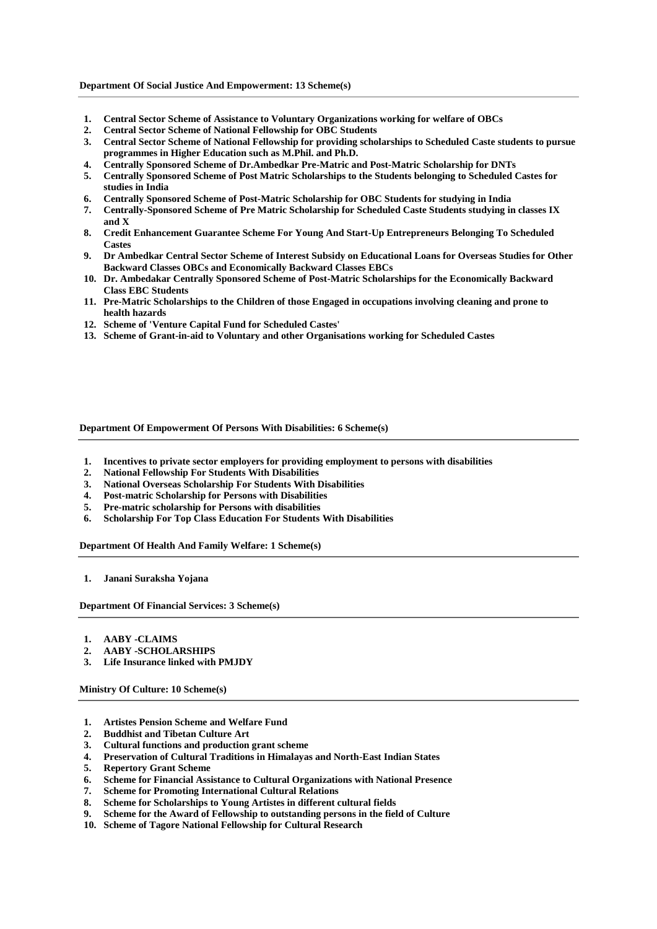#### **Department Of Social Justice And Empowerment: 13 Scheme(s)**

- **1. Central Sector Scheme [of Assistance to Voluntary Organizations working for welfare of OBCs](https://dbtbharat.gov.in/scheme/schemedetail?id=MTYz)**
- **2. [Central Sector Scheme of National Fellowship for OBC Students](https://dbtbharat.gov.in/scheme/schemedetail?id=MTg=)**
- **3. [Central Sector Scheme of National Fellowship for providing scholarships to Scheduled Caste students to pursue](https://dbtbharat.gov.in/scheme/schemedetail?id=NDM=)  [programmes in Higher Education such as M.Phil. and Ph.D.](https://dbtbharat.gov.in/scheme/schemedetail?id=NDM=)**
- **4. [Centrally Sponsored Scheme of Dr.Ambedkar Pre-Matric and Post-Matric Scholarship for DNTs](https://dbtbharat.gov.in/scheme/schemedetail?id=Mzg=)**
- **5. Centrally Sponsored Scheme of Post Matric [Scholarships to the Students belonging to Scheduled Castes for](https://dbtbharat.gov.in/scheme/schemedetail?id=Mzc=)  [studies in India](https://dbtbharat.gov.in/scheme/schemedetail?id=Mzc=)**
- **6. [Centrally Sponsored Scheme of Post-Matric Scholarship for OBC Students for studying in India](https://dbtbharat.gov.in/scheme/schemedetail?id=NDI=)**
- **7. [Centrally-Sponsored Scheme of Pre Matric Scholarship for Scheduled Caste Students studying in classes IX](https://dbtbharat.gov.in/scheme/schemedetail?id=NDA=)  [and X](https://dbtbharat.gov.in/scheme/schemedetail?id=NDA=)**
- **8. [Credit Enhancement Guarantee Scheme For Young And Start-Up Entrepreneurs Belonging To Scheduled](https://dbtbharat.gov.in/scheme/schemedetail?id=NDE=)  [Castes](https://dbtbharat.gov.in/scheme/schemedetail?id=NDE=)**
- **9. [Dr Ambedkar Central Sector Scheme of Interest Subsidy on Educational Loans for Overseas Studies for Other](https://dbtbharat.gov.in/scheme/schemedetail?id=MjYx)  [Backward Classes OBCs and Economically Backward Classes EBCs](https://dbtbharat.gov.in/scheme/schemedetail?id=MjYx)**
- **10. [Dr. Ambedakar Centrally Sponsored Scheme of Post-Matric Scholarships for the Economically Backward](https://dbtbharat.gov.in/scheme/schemedetail?id=MjYy)  [Class EBC Students](https://dbtbharat.gov.in/scheme/schemedetail?id=MjYy)**
- **11. [Pre-Matric Scholarships to the Children of those Engaged in occupations involving cleaning and prone to](https://dbtbharat.gov.in/scheme/schemedetail?id=Mzk=)  [health hazards](https://dbtbharat.gov.in/scheme/schemedetail?id=Mzk=)**
- **12. [Scheme of 'Venture Capital Fund for Scheduled Castes'](https://dbtbharat.gov.in/scheme/schemedetail?id=MjIx)**
- **13. [Scheme of Grant-in-aid to Voluntary and other Organisations working for Scheduled Castes](https://dbtbharat.gov.in/scheme/schemedetail?id=MTYy)**

**Department Of Empowerment Of Persons With Disabilities: 6 Scheme(s)**

- **1. [Incentives to private sector employers for providing employment to persons with disabilities](https://dbtbharat.gov.in/scheme/schemedetail?id=MTM1)**
- 
- **2. National Fellowship For [Students With Disabilities](https://dbtbharat.gov.in/scheme/schemedetail?id=NDc=) 3. [National Overseas Scholarship For Students With Disabilities](https://dbtbharat.gov.in/scheme/schemedetail?id=MTcw)**
- **4. [Post-matric Scholarship for Persons with Disabilities](https://dbtbharat.gov.in/scheme/schemedetail?id=NDU=)**
- **5. [Pre-matric scholarship for Persons with disabilities](https://dbtbharat.gov.in/scheme/schemedetail?id=NDQ=)**
- **6. [Scholarship For Top Class Education For Students](https://dbtbharat.gov.in/scheme/schemedetail?id=NDY=) With Disabilities**

**Department Of Health And Family Welfare: 1 Scheme(s)**

**1. [Janani Suraksha Yojana](https://dbtbharat.gov.in/scheme/schemedetail?id=NDg=)**

**Department Of Financial Services: 3 Scheme(s)**

- **1. [AABY -CLAIMS](https://dbtbharat.gov.in/scheme/schemedetail?id=NDk=)**
- **2. [AABY -SCHOLARSHIPS](https://dbtbharat.gov.in/scheme/schemedetail?id=NTE=)**
- **3. [Life Insurance linked with PMJDY](https://dbtbharat.gov.in/scheme/schemedetail?id=NTA=)**

**Ministry Of Culture: 10 Scheme(s)**

- **1. [Artistes Pension Scheme and Welfare Fund](https://dbtbharat.gov.in/scheme/schemedetail?id=NTY=)**
- **2. [Buddhist and Tibetan Culture Art](https://dbtbharat.gov.in/scheme/schemedetail?id=NjE=)**
- **3. [Cultural functions and production grant scheme](https://dbtbharat.gov.in/scheme/schemedetail?id=NTg=)**
- **4. [Preservation of Cultural Traditions in Himalayas and North-East Indian States](https://dbtbharat.gov.in/scheme/schemedetail?id=NjI=)**
- **5. [Repertory Grant Scheme](https://dbtbharat.gov.in/scheme/schemedetail?id=NTM=)**
- **6. [Scheme for Financial Assistance to Cultural Organizations with National Presence](https://dbtbharat.gov.in/scheme/schemedetail?id=NTc=)**
- **7. [Scheme for Promoting International Cultural Relations](https://dbtbharat.gov.in/scheme/schemedetail?id=NjM=)**
- **8. [Scheme for Scholarships to Young Artistes in different cultural fields](https://dbtbharat.gov.in/scheme/schemedetail?id=Njc=)**
- **9. [Scheme for the Award of Fellowship to outstanding persons in the field of Culture](https://dbtbharat.gov.in/scheme/schemedetail?id=NTk=)**
- **10. [Scheme of Tagore National Fellowship for Cultural Research](https://dbtbharat.gov.in/scheme/schemedetail?id=NjA=)**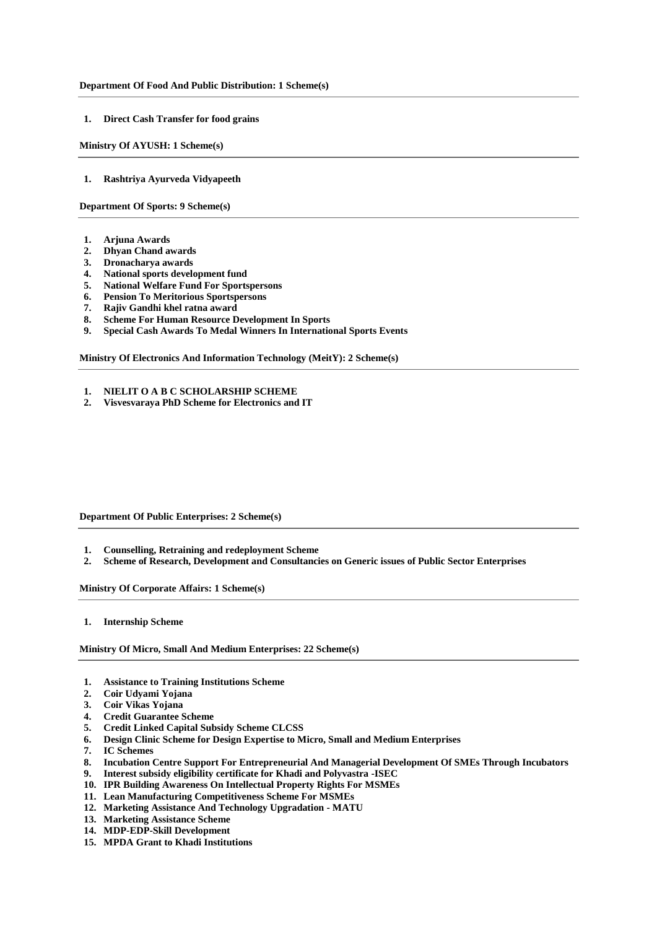#### **Department Of Food And Public Distribution: 1 Scheme(s)**

**1. [Direct Cash Transfer for food grains](https://dbtbharat.gov.in/scheme/schemedetail?id=NzM=)**

**Ministry Of AYUSH: 1 Scheme(s)**

**1. [Rashtriya Ayurveda Vidyapeeth](https://dbtbharat.gov.in/scheme/schemedetail?id=NzQ=)**

**Department Of Sports: 9 Scheme(s)**

- **1. [Arjuna Awards](https://dbtbharat.gov.in/scheme/schemedetail?id=MTU3)**
- **2. [Dhyan Chand awards](https://dbtbharat.gov.in/scheme/schemedetail?id=MTU4)**
- **3. [Dronacharya awards](https://dbtbharat.gov.in/scheme/schemedetail?id=MTU5)**
- **4. [National sports development fund](https://dbtbharat.gov.in/scheme/schemedetail?id=Mjgx)**
- **5. [National Welfare Fund For Sportspersons](https://dbtbharat.gov.in/scheme/schemedetail?id=Mjg0)**
- **6. [Pension To Meritorious Sportspersons](https://dbtbharat.gov.in/scheme/schemedetail?id=Mjgz)**
- **7. [Rajiv Gandhi khel ratna award](https://dbtbharat.gov.in/scheme/schemedetail?id=MTYw)**
- **8. [Scheme For Human Resource Development In Sports](https://dbtbharat.gov.in/scheme/schemedetail?id=Mjgy)**
- **9. [Special Cash Awards To Medal Winners In International Sports Events](https://dbtbharat.gov.in/scheme/schemedetail?id=Mjg1)**

**Ministry Of Electronics And Information Technology (MeitY): 2 Scheme(s)**

- **1. [NIELIT O A B C SCHOLARSHIP SCHEME](https://dbtbharat.gov.in/scheme/schemedetail?id=MTgy)**
- **2. [Visvesvaraya PhD Scheme for Electronics and IT](https://dbtbharat.gov.in/scheme/schemedetail?id=MjEy)**

**Department Of Public Enterprises: 2 Scheme(s)**

- **1. [Counselling, Retraining and redeployment Scheme](https://dbtbharat.gov.in/scheme/schemedetail?id=MjYz)**
- **2. [Scheme of Research, Development and Consultancies on Generic issues of Public Sector Enterprises](https://dbtbharat.gov.in/scheme/schemedetail?id=MjY0)**

**Ministry Of Corporate Affairs: 1 Scheme(s)**

**1. [Internship Scheme](https://dbtbharat.gov.in/scheme/schemedetail?id=MjEz)**

**Ministry Of Micro, Small And Medium Enterprises: 22 Scheme(s)**

- **1. [Assistance to Training Institutions Scheme](https://dbtbharat.gov.in/scheme/schemedetail?id=MzI2)**
- **2. [Coir Udyami Yojana](https://dbtbharat.gov.in/scheme/schemedetail?id=MzI4)**
- **3. [Coir Vikas Yojana](https://dbtbharat.gov.in/scheme/schemedetail?id=MzI5)**
- **4. [Credit Guarantee Scheme](https://dbtbharat.gov.in/scheme/schemedetail?id=MzMx)**
- **5. [Credit Linked Capital Subsidy Scheme CLCSS](https://dbtbharat.gov.in/scheme/schemedetail?id=MTI5)**
- **6. [Design Clinic Scheme for Design Expertise to Micro, Small and Medium Enterprises](https://dbtbharat.gov.in/scheme/schemedetail?id=MTAx)**
- **7. [IC Schemes](https://dbtbharat.gov.in/scheme/schemedetail?id=MTM0)**
- **8. [Incubation Centre Support For Entrepreneurial And Managerial Development Of SMEs Through Incubators](https://dbtbharat.gov.in/scheme/schemedetail?id=MTMx)**
- **9. [Interest subsidy eligibility certificate for Khadi and Polyvastra -ISEC](https://dbtbharat.gov.in/scheme/schemedetail?id=MjU5)**
- **10. [IPR Building Awareness On Intellectual Property Rights For MSMEs](https://dbtbharat.gov.in/scheme/schemedetail?id=MTMw)**
- **11. [Lean Manufacturing Competitiveness Scheme For MSMEs](https://dbtbharat.gov.in/scheme/schemedetail?id=MTMy)**
- **12. [Marketing Assistance And Technology Upgradation -](https://dbtbharat.gov.in/scheme/schemedetail?id=MTI4) MATU**
- **13. [Marketing Assistance Scheme](https://dbtbharat.gov.in/scheme/schemedetail?id=MzI3)**
- **14. [MDP-EDP-Skill Development](https://dbtbharat.gov.in/scheme/schemedetail?id=MTI1)**
- **15. [MPDA Grant to Khadi Institutions](https://dbtbharat.gov.in/scheme/schemedetail?id=MzMw)**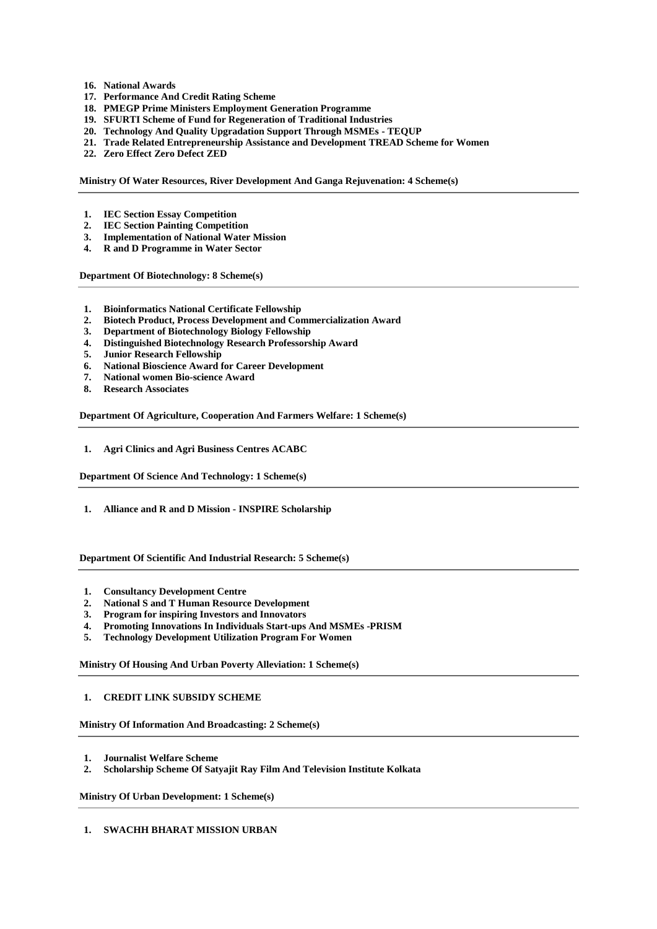- **16. [National Awards](https://dbtbharat.gov.in/scheme/schemedetail?id=MTI0)**
- **17. [Performance And Credit Rating Scheme](https://dbtbharat.gov.in/scheme/schemedetail?id=MTMz)**
- **18. [PMEGP Prime Ministers Employment Generation Programme](https://dbtbharat.gov.in/scheme/schemedetail?id=MzMz)**
- **19. [SFURTI Scheme of Fund for Regeneration of Traditional Industries](https://dbtbharat.gov.in/scheme/schemedetail?id=MzMy)**
- **20. [Technology And Quality Upgradation Support Through MSMEs -](https://dbtbharat.gov.in/scheme/schemedetail?id=MTI3) TEQUP**
- **21. [Trade Related Entrepreneurship Assistance and Development TREAD Scheme for Women](https://dbtbharat.gov.in/scheme/schemedetail?id=MzEw)**
- **22. [Zero Effect Zero Defect ZED](https://dbtbharat.gov.in/scheme/schemedetail?id=MTI2)**

**Ministry Of Water Resources, River Development And Ganga Rejuvenation: 4 Scheme(s)**

- **1. [IEC Section Essay Competition](https://dbtbharat.gov.in/scheme/schemedetail?id=MzI0)**
- **2. [IEC Section Painting Competition](https://dbtbharat.gov.in/scheme/schemedetail?id=MzIz)**
- **3. [Implementation of National Water Mission](https://dbtbharat.gov.in/scheme/schemedetail?id=MzI1)**
- **4. [R and D Programme in Water Sector](https://dbtbharat.gov.in/scheme/schemedetail?id=MTUw)**

**Department Of Biotechnology: 8 Scheme(s)**

- **1. [Bioinformatics National Certificate Fellowship](https://dbtbharat.gov.in/scheme/schemedetail?id=MTE1)**
- **2. [Biotech Product, Process Development and Commercialization Award](https://dbtbharat.gov.in/scheme/schemedetail?id=MTE3)**
- **3. [Department of Biotechnology Biology Fellowship](https://dbtbharat.gov.in/scheme/schemedetail?id=MTIz)**
- **4. [Distinguished Biotechnology Research Professorship Award](https://dbtbharat.gov.in/scheme/schemedetail?id=MTE2)**
- **5. [Junior Research Fellowship](https://dbtbharat.gov.in/scheme/schemedetail?id=MTIx)**
- **6. [National Bioscience Award for Career Development](https://dbtbharat.gov.in/scheme/schemedetail?id=MTE4)**
- **7. [National women Bio-science Award](https://dbtbharat.gov.in/scheme/schemedetail?id=MTE0)**
- **8. [Research Associates](https://dbtbharat.gov.in/scheme/schemedetail?id=MTIy)**

**Department Of Agriculture, Cooperation And Farmers Welfare: 1 Scheme(s)**

**1. [Agri Clinics and Agri Business Centres ACABC](https://dbtbharat.gov.in/scheme/schemedetail?id=MTIw)**

**Department Of Science And Technology: 1 Scheme(s)**

**1. [Alliance and R and D Mission -](https://dbtbharat.gov.in/scheme/schemedetail?id=NjY=) INSPIRE Scholarship**

**Department Of Scientific And Industrial Research: 5 Scheme(s)**

- **1. [Consultancy Development Centre](https://dbtbharat.gov.in/scheme/schemedetail?id=MTg1)**
- **2. [National S and T Human Resource Development](https://dbtbharat.gov.in/scheme/schemedetail?id=MTg4)**
- **3. [Program for inspiring Investors and Innovators](https://dbtbharat.gov.in/scheme/schemedetail?id=MTg5)**
- **4. [Promoting Innovations In Individuals Start-ups And MSMEs -PRISM](https://dbtbharat.gov.in/scheme/schemedetail?id=MTgz)**
- **5. [Technology Development Utilization Program For Women](https://dbtbharat.gov.in/scheme/schemedetail?id=MTg0)**

**Ministry Of Housing And Urban Poverty Alleviation: 1 Scheme(s)**

## **1. [CREDIT LINK SUBSIDY SCHEME](https://dbtbharat.gov.in/scheme/schemedetail?id=MjQ3)**

**Ministry Of Information And Broadcasting: 2 Scheme(s)**

- **1. [Journalist Welfare Scheme](https://dbtbharat.gov.in/scheme/schemedetail?id=MTUy)**
- **2. [Scholarship Scheme Of Satyajit Ray Film And Television Institute Kolkata](https://dbtbharat.gov.in/scheme/schemedetail?id=MTUx)**

**Ministry Of Urban Development: 1 Scheme(s)**

#### **1. [SWACHH BHARAT MISSION URBAN](https://dbtbharat.gov.in/scheme/schemedetail?id=MTgw)**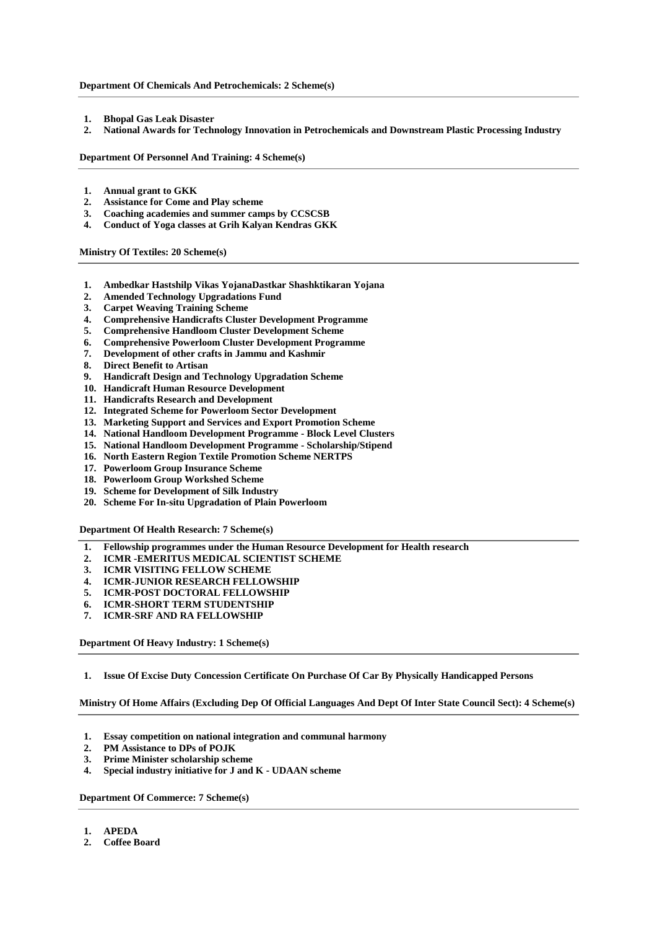#### **Department Of Chemicals And Petrochemicals: 2 Scheme(s)**

- **1. [Bhopal Gas Leak Disaster](https://dbtbharat.gov.in/scheme/schemedetail?id=MzA4)**
- **2. [National Awards for Technology Innovation in Petrochemicals and Downstream Plastic Processing Industry](https://dbtbharat.gov.in/scheme/schemedetail?id=MTYx)**

**Department Of Personnel And Training: 4 Scheme(s)**

- **1. [Annual grant to GKK](https://dbtbharat.gov.in/scheme/schemedetail?id=MTAz)**
- **2. [Assistance for Come and Play scheme](https://dbtbharat.gov.in/scheme/schemedetail?id=MjYw)**
- **3. [Coaching academies and summer camps by CCSCSB](https://dbtbharat.gov.in/scheme/schemedetail?id=MTAy)**
- **4. [Conduct of Yoga classes at Grih Kalyan Kendras GKK](https://dbtbharat.gov.in/scheme/schemedetail?id=MTA0)**

**Ministry Of Textiles: 20 Scheme(s)**

- **1. [Ambedkar Hastshilp Vikas YojanaDastkar Shashktikaran Yojana](https://dbtbharat.gov.in/scheme/schemedetail?id=Mjgw)**
- **2. [Amended Technology Upgradations Fund](https://dbtbharat.gov.in/scheme/schemedetail?id=MTc4)**
- **3. [Carpet Weaving Training Scheme](https://dbtbharat.gov.in/scheme/schemedetail?id=Mjcy)**
- **4. [Comprehensive Handicrafts Cluster Development Programme](https://dbtbharat.gov.in/scheme/schemedetail?id=Mjc5)**
- **5. [Comprehensive Handloom Cluster Development Scheme](https://dbtbharat.gov.in/scheme/schemedetail?id=MjIw)**
- **6. [Comprehensive Powerloom Cluster Development Programme](https://dbtbharat.gov.in/scheme/schemedetail?id=MjE3)**
- **7. [Development of other crafts in Jammu and Kashmir](https://dbtbharat.gov.in/scheme/schemedetail?id=Mjc3)**
- **8. [Direct Benefit to Artisan](https://dbtbharat.gov.in/scheme/schemedetail?id=Mjc2)**
- **9. [Handicraft Design and Technology Upgradation Scheme](https://dbtbharat.gov.in/scheme/schemedetail?id=Mjc4)**
- **10. [Handicraft Human Resource Development](https://dbtbharat.gov.in/scheme/schemedetail?id=Mjc1)**
- **11. [Handicrafts Research and Development](https://dbtbharat.gov.in/scheme/schemedetail?id=Mjc0)**
- **12. [Integrated Scheme for Powerloom Sector Development](https://dbtbharat.gov.in/scheme/schemedetail?id=MTc2)**
- **13. [Marketing Support and Services and Export Promotion Scheme](https://dbtbharat.gov.in/scheme/schemedetail?id=Mjcz)**
- **14. [National Handloom Development Programme -](https://dbtbharat.gov.in/scheme/schemedetail?id=MjE5) Block Level Clusters**
- **15. [National Handloom Development Programme -](https://dbtbharat.gov.in/scheme/schemedetail?id=Mjcx) Scholarship/Stipend**
- **16. [North Eastern Region Textile Promotion Scheme NERTPS](https://dbtbharat.gov.in/scheme/schemedetail?id=MTc1)**
- **17. [Powerloom Group Insurance Scheme](https://dbtbharat.gov.in/scheme/schemedetail?id=MjE4)**
- **18. [Powerloom Group Workshed Scheme](https://dbtbharat.gov.in/scheme/schemedetail?id=MTc3)**
- **19. [Scheme for Development of Silk Industry](https://dbtbharat.gov.in/scheme/schemedetail?id=MjE1)**
- **20. [Scheme For In-situ Upgradation of Plain Powerloom](https://dbtbharat.gov.in/scheme/schemedetail?id=MjE2)**

**Department Of Health Research: 7 Scheme(s)**

- **1. [Fellowship programmes under the Human Resource Development for Health research](https://dbtbharat.gov.in/scheme/schemedetail?id=MTcy)**
- **2. [ICMR -EMERITUS MEDICAL SCIENTIST SCHEME](https://dbtbharat.gov.in/scheme/schemedetail?id=MTY0)**
- **3. [ICMR VISITING FELLOW SCHEME](https://dbtbharat.gov.in/scheme/schemedetail?id=MTY3)**
- **4. [ICMR-JUNIOR RESEARCH FELLOWSHIP](https://dbtbharat.gov.in/scheme/schemedetail?id=MTY5)**
- **5. [ICMR-POST DOCTORAL FELLOWSHIP](https://dbtbharat.gov.in/scheme/schemedetail?id=MTY4)**
- **6. [ICMR-SHORT TERM STUDENTSHIP](https://dbtbharat.gov.in/scheme/schemedetail?id=MTY1)**
- **7. [ICMR-SRF AND RA FELLOWSHIP](https://dbtbharat.gov.in/scheme/schemedetail?id=MTY2)**

**Department Of Heavy Industry: 1 Scheme(s)**

**1. [Issue Of Excise Duty Concession Certificate On Purchase Of Car By Physically Handicapped Persons](https://dbtbharat.gov.in/scheme/schemedetail?id=MTE5)**

**Ministry Of Home Affairs (Excluding Dep Of Official Languages And Dept Of Inter State Council Sect): 4 Scheme(s)**

- **1. [Essay competition on national integration and communal harmony](https://dbtbharat.gov.in/scheme/schemedetail?id=MzIx)**
- **2. [PM Assistance to DPs of POJK](https://dbtbharat.gov.in/scheme/schemedetail?id=MzIw)**
- **3. [Prime Minister scholarship scheme](https://dbtbharat.gov.in/scheme/schemedetail?id=MzE5)**
- **4. [Special industry initiative for J and K -](https://dbtbharat.gov.in/scheme/schemedetail?id=MzIy) UDAAN scheme**

**Department Of Commerce: 7 Scheme(s)**

- **1. [APEDA](https://dbtbharat.gov.in/scheme/schemedetail?id=MTA3)**
- **2. [Coffee Board](https://dbtbharat.gov.in/scheme/schemedetail?id=MTA4)**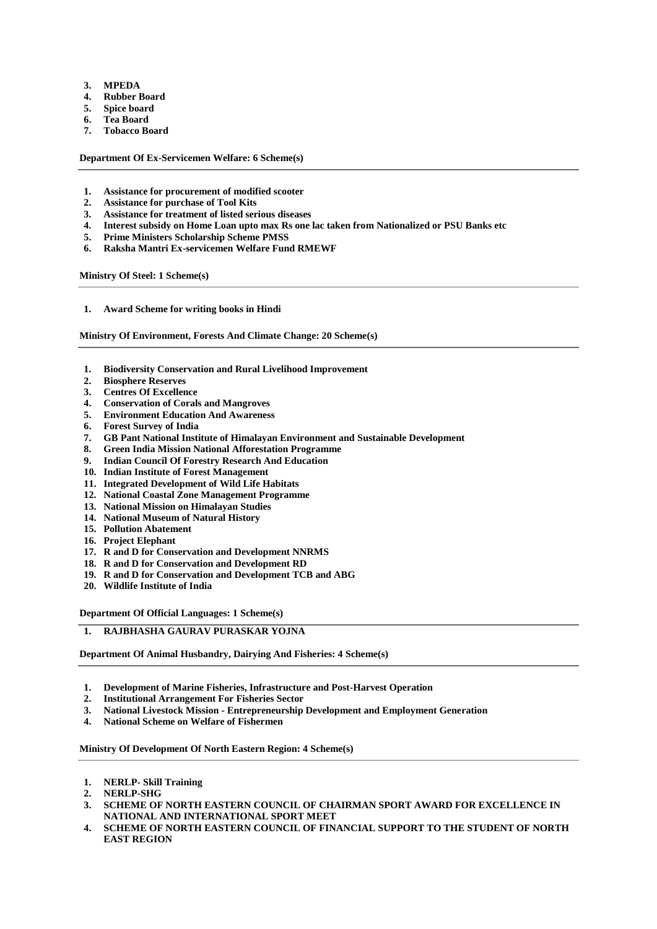- **3. [MPEDA](https://dbtbharat.gov.in/scheme/schemedetail?id=MTA5)**
- **4. [Rubber Board](https://dbtbharat.gov.in/scheme/schemedetail?id=MTEw)**
- **5. [Spice board](https://dbtbharat.gov.in/scheme/schemedetail?id=MTEx)**
- **6. [Tea Board](https://dbtbharat.gov.in/scheme/schemedetail?id=MTEy)**
- **7. [Tobacco Board](https://dbtbharat.gov.in/scheme/schemedetail?id=MTEz)**

**Department Of Ex-Servicemen Welfare: 6 Scheme(s)**

- **1. [Assistance for procurement of modified scooter](https://dbtbharat.gov.in/scheme/schemedetail?id=NzU=)**
- **2. [Assistance for purchase of Tool Kits](https://dbtbharat.gov.in/scheme/schemedetail?id=Nzg=)**
- **3. [Assistance for treatment of listed serious diseases](https://dbtbharat.gov.in/scheme/schemedetail?id=NzI=)**
- **4. [Interest subsidy on Home Loan upto max Rs one lac taken from Nationalized or PSU Banks etc](https://dbtbharat.gov.in/scheme/schemedetail?id=Nzk=)**
- **5. [Prime Ministers Scholarship Scheme PMSS](https://dbtbharat.gov.in/scheme/schemedetail?id=NjQ=)**
- **6. [Raksha Mantri Ex-servicemen Welfare Fund RMEWF](https://dbtbharat.gov.in/scheme/schemedetail?id=NjU=)**

**Ministry Of Steel: 1 Scheme(s)**

**1. [Award Scheme for writing books in Hindi](https://dbtbharat.gov.in/scheme/schemedetail?id=MjE0)**

**Ministry Of Environment, Forests And Climate Change: 20 Scheme(s)**

- **1. [Biodiversity Conservation and Rural Livelihood Improvement](https://dbtbharat.gov.in/scheme/schemedetail?id=MzA2)**
- **2. [Biosphere Reserves](https://dbtbharat.gov.in/scheme/schemedetail?id=Mjk4)**
- **3. [Centres Of Excellence](https://dbtbharat.gov.in/scheme/schemedetail?id=Mjg5)**
- **4. [Conservation of Corals and Mangroves](https://dbtbharat.gov.in/scheme/schemedetail?id=MzA1)**
- **5. [Environment Education And Awareness](https://dbtbharat.gov.in/scheme/schemedetail?id=Mjkw)**
- **6. [Forest Survey of India](https://dbtbharat.gov.in/scheme/schemedetail?id=MzEy)**
- **7. [GB Pant National Institute of Himalayan Environment and Sustainable Development](https://dbtbharat.gov.in/scheme/schemedetail?id=Mjkz)**
- **8. [Green India Mission National Afforestation Programme](https://dbtbharat.gov.in/scheme/schemedetail?id=Mjk5)**
- **9. [Indian Council Of Forestry Research And Education](https://dbtbharat.gov.in/scheme/schemedetail?id=Mjk2)**
- **10. [Indian Institute of Forest Management](https://dbtbharat.gov.in/scheme/schemedetail?id=Mjg4)**
- **11. [Integrated Development of Wild Life Habitats](https://dbtbharat.gov.in/scheme/schemedetail?id=Mjg2)**
- **12. [National Coastal Zone Management Programme](https://dbtbharat.gov.in/scheme/schemedetail?id=MzAw)**
- **13. [National Mission on Himalayan Studies](https://dbtbharat.gov.in/scheme/schemedetail?id=MjI3)**
- **14. National [Museum of Natural History](https://dbtbharat.gov.in/scheme/schemedetail?id=MzEx)**
- **15. [Pollution Abatement](https://dbtbharat.gov.in/scheme/schemedetail?id=Mjky)**
- **16. [Project Elephant](https://dbtbharat.gov.in/scheme/schemedetail?id=Mjk0)**
- **17. [R and D for Conservation and Development NNRMS](https://dbtbharat.gov.in/scheme/schemedetail?id=Mjkx)**
- **18. [R and D for Conservation and Development RD](https://dbtbharat.gov.in/scheme/schemedetail?id=Mjk1)**
- **19. [R and D for Conservation and Development TCB and ABG](https://dbtbharat.gov.in/scheme/schemedetail?id=Mjk3)**
- **20. [Wildlife Institute of India](https://dbtbharat.gov.in/scheme/schemedetail?id=Mjg3)**

**Department Of Official Languages: 1 Scheme(s)**

## **1. [RAJBHASHA GAURAV PURASKAR YOJNA](https://dbtbharat.gov.in/scheme/schemedetail?id=MTUz)**

**Department Of Animal Husbandry, Dairying And Fisheries: 4 Scheme(s)**

- **1. [Development of Marine Fisheries, Infrastructure and Post-Harvest Operation](https://dbtbharat.gov.in/scheme/schemedetail?id=MzE3)**
- **2. [Institutional Arrangement For Fisheries Sector](https://dbtbharat.gov.in/scheme/schemedetail?id=MTg3)**
- **3. National Livestock Mission - [Entrepreneurship Development and Employment Generation](https://dbtbharat.gov.in/scheme/schemedetail?id=MzA3)**
- **4. [National Scheme on Welfare of Fishermen](https://dbtbharat.gov.in/scheme/schemedetail?id=MzE2)**

#### **Ministry Of Development Of North Eastern Region: 4 Scheme(s)**

- **1. NERLP- [Skill Training](https://dbtbharat.gov.in/scheme/schemedetail?id=Mjcw)**
- **2. [NERLP-SHG](https://dbtbharat.gov.in/scheme/schemedetail?id=MjY5)**
- **3. [SCHEME OF NORTH EASTERN COUNCIL OF CHAIRMAN SPORT AWARD FOR EXCELLENCE IN](https://dbtbharat.gov.in/scheme/schemedetail?id=MjI4)  [NATIONAL AND INTERNATIONAL SPORT MEET](https://dbtbharat.gov.in/scheme/schemedetail?id=MjI4)**
- **4. [SCHEME OF NORTH EASTERN COUNCIL OF FINANCIAL SUPPORT TO THE STUDENT OF NORTH](https://dbtbharat.gov.in/scheme/schemedetail?id=MjI5)  [EAST REGION](https://dbtbharat.gov.in/scheme/schemedetail?id=MjI5)**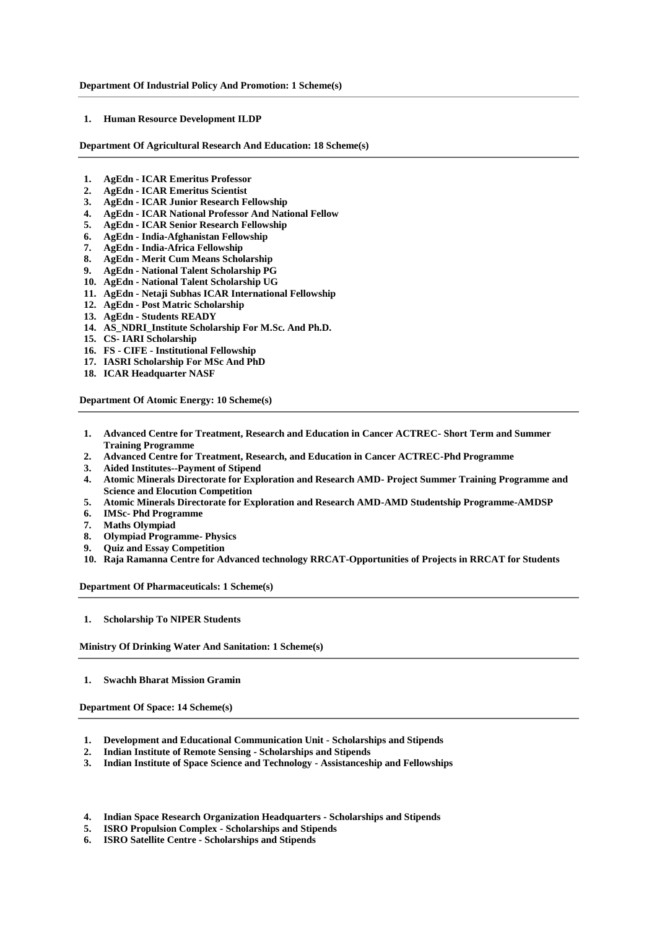**1. [Human Resource Development ILDP](https://dbtbharat.gov.in/scheme/schemedetail?id=MjMw)**

**Department Of Agricultural Research And Education: 18 Scheme(s)**

- **1. AgEdn - [ICAR Emeritus Professor](https://dbtbharat.gov.in/scheme/schemedetail?id=MTk5)**
- **2. AgEdn - [ICAR Emeritus Scientist](https://dbtbharat.gov.in/scheme/schemedetail?id=MjAw)**
- **3. AgEdn - [ICAR Junior Research Fellowship](https://dbtbharat.gov.in/scheme/schemedetail?id=MTk4)**
- **4. AgEdn - [ICAR National Professor And National Fellow](https://dbtbharat.gov.in/scheme/schemedetail?id=MTky)**
- **5. AgEdn - [ICAR Senior Research Fellowship](https://dbtbharat.gov.in/scheme/schemedetail?id=MTk3)**
- **6. AgEdn - [India-Afghanistan Fellowship](https://dbtbharat.gov.in/scheme/schemedetail?id=MjQ5)**
- **7. AgEdn - [India-Africa Fellowship](https://dbtbharat.gov.in/scheme/schemedetail?id=MjQ4)**
- **8. AgEdn - [Merit Cum Means Scholarship](https://dbtbharat.gov.in/scheme/schemedetail?id=MjAz)**
- **9. AgEdn - [National Talent Scholarship PG](https://dbtbharat.gov.in/scheme/schemedetail?id=MTk2)**
- **10. AgEdn - [National Talent Scholarship UG](https://dbtbharat.gov.in/scheme/schemedetail?id=MjA0)**
- **11. AgEdn - [Netaji Subhas ICAR International Fellowship](https://dbtbharat.gov.in/scheme/schemedetail?id=MjA2)**
- **12. AgEdn - [Post Matric Scholarship](https://dbtbharat.gov.in/scheme/schemedetail?id=MjAy)**
- **13. AgEdn - [Students READY](https://dbtbharat.gov.in/scheme/schemedetail?id=MjAx)**
- **14. [AS\\_NDRI\\_Institute Scholarship For M.Sc. And Ph.D.](https://dbtbharat.gov.in/scheme/schemedetail?id=MjA1)**
- **15. CS- [IARI Scholarship](https://dbtbharat.gov.in/scheme/schemedetail?id=MTkz)**
- **16. FS - CIFE - [Institutional Fellowship](https://dbtbharat.gov.in/scheme/schemedetail?id=MTk0)**
- **17. [IASRI Scholarship For MSc And PhD](https://dbtbharat.gov.in/scheme/schemedetail?id=MTkx)**
- **18. [ICAR Headquarter NASF](https://dbtbharat.gov.in/scheme/schemedetail?id=MTk1)**

**Department Of Atomic Energy: 10 Scheme(s)**

- **1. [Advanced Centre for Treatment, Research and Education in Cancer ACTREC-](https://dbtbharat.gov.in/scheme/schemedetail?id=MjQw) Short Term and Summer [Training Programme](https://dbtbharat.gov.in/scheme/schemedetail?id=MjQw)**
- **2. [Advanced Centre for Treatment, Research, and Education in Cancer ACTREC-Phd Programme](https://dbtbharat.gov.in/scheme/schemedetail?id=MjQx)**
- **3. [Aided Institutes--Payment of Stipend](https://dbtbharat.gov.in/scheme/schemedetail?id=MjM0)**
- **4. [Atomic Minerals Directorate for Exploration and Research AMD-](https://dbtbharat.gov.in/scheme/schemedetail?id=MjM4) Project Summer Training Programme and [Science and Elocution Competition](https://dbtbharat.gov.in/scheme/schemedetail?id=MjM4)**
- **5. [Atomic Minerals Directorate for Exploration and Research AMD-AMD Studentship Programme-AMDSP](https://dbtbharat.gov.in/scheme/schemedetail?id=MjQy)**
- **6. IMSc- [Phd Programme](https://dbtbharat.gov.in/scheme/schemedetail?id=MjQz)**
- **7. [Maths Olympiad](https://dbtbharat.gov.in/scheme/schemedetail?id=MjQ0)**
- **8. [Olympiad Programme-](https://dbtbharat.gov.in/scheme/schemedetail?id=MjQ1) Physics**
- **9. [Quiz and Essay Competition](https://dbtbharat.gov.in/scheme/schemedetail?id=MjM5)**
- **10. [Raja Ramanna Centre for Advanced technology RRCAT-Opportunities of Projects in RRCAT for Students](https://dbtbharat.gov.in/scheme/schemedetail?id=MjQ2)**

**Department Of Pharmaceuticals: 1 Scheme(s)**

**1. [Scholarship To NIPER Students](https://dbtbharat.gov.in/scheme/schemedetail?id=MjI1)**

**Ministry Of Drinking Water And Sanitation: 1 Scheme(s)**

**1. [Swachh Bharat Mission Gramin](https://dbtbharat.gov.in/scheme/schemedetail?id=MTc5)**

**Department Of Space: 14 Scheme(s)**

- **1. [Development and Educational Communication Unit -](https://dbtbharat.gov.in/scheme/schemedetail?id=MTQw) Scholarships and Stipends**
- **2. [Indian Institute of Remote Sensing -](https://dbtbharat.gov.in/scheme/schemedetail?id=MTQy) Scholarships and Stipends**
- **3. [Indian Institute of Space Science and Technology -](https://dbtbharat.gov.in/scheme/schemedetail?id=MTQx) Assistanceship and Fellowships**
- **4. [Indian Space Research Organization Headquarters -](https://dbtbharat.gov.in/scheme/schemedetail?id=MTQ5) Scholarships and Stipends**
- **5. [ISRO Propulsion Complex -](https://dbtbharat.gov.in/scheme/schemedetail?id=MTQz) Scholarships and Stipends**
- **6. ISRO Satellite Centre - [Scholarships and Stipends](https://dbtbharat.gov.in/scheme/schemedetail?id=MTM2)**